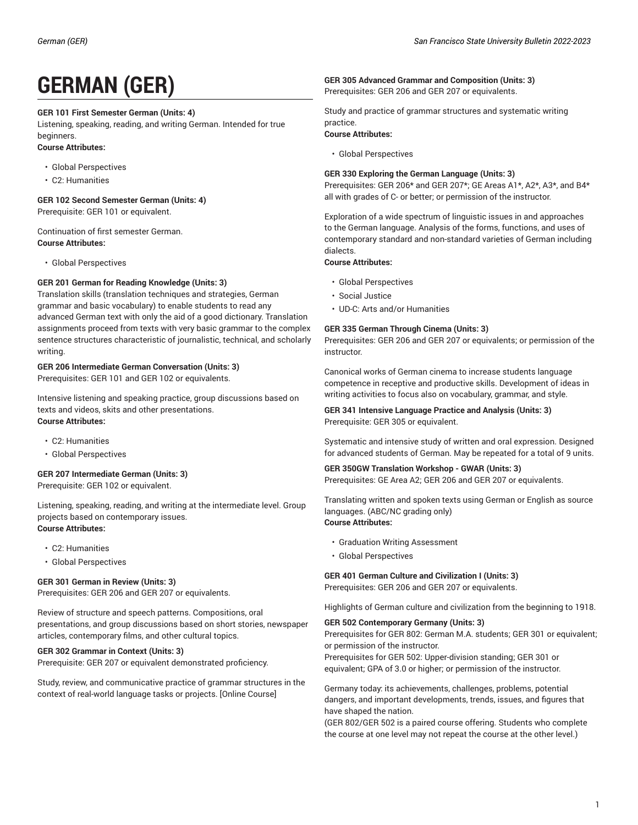# **GERMAN (GER)**

# **GER 101 First Semester German (Units: 4)**

Listening, speaking, reading, and writing German. Intended for true beginners.

**Course Attributes:**

- Global Perspectives
- C2: Humanities

**GER 102 Second Semester German (Units: 4)**

Prerequisite: GER 101 or equivalent.

Continuation of first semester German. **Course Attributes:**

• Global Perspectives

# **GER 201 German for Reading Knowledge (Units: 3)**

Translation skills (translation techniques and strategies, German grammar and basic vocabulary) to enable students to read any advanced German text with only the aid of a good dictionary. Translation assignments proceed from texts with very basic grammar to the complex sentence structures characteristic of journalistic, technical, and scholarly writing.

# **GER 206 Intermediate German Conversation (Units: 3)**

Prerequisites: GER 101 and GER 102 or equivalents.

Intensive listening and speaking practice, group discussions based on texts and videos, skits and other presentations. **Course Attributes:**

- C2: Humanities
- Global Perspectives

# **GER 207 Intermediate German (Units: 3)**

Prerequisite: GER 102 or equivalent.

Listening, speaking, reading, and writing at the intermediate level. Group projects based on contemporary issues. **Course Attributes:**

- C2: Humanities
- Global Perspectives

# **GER 301 German in Review (Units: 3)**

Prerequisites: GER 206 and GER 207 or equivalents.

Review of structure and speech patterns. Compositions, oral presentations, and group discussions based on short stories, newspaper articles, contemporary films, and other cultural topics.

# **GER 302 Grammar in Context (Units: 3)**

Prerequisite: GER 207 or equivalent demonstrated proficiency.

Study, review, and communicative practice of grammar structures in the context of real-world language tasks or projects. [Online Course]

**GER 305 Advanced Grammar and Composition (Units: 3)** Prerequisites: GER 206 and GER 207 or equivalents.

Study and practice of grammar structures and systematic writing practice.

**Course Attributes:**

• Global Perspectives

# **GER 330 Exploring the German Language (Units: 3)**

Prerequisites: GER 206\* and GER 207\*; GE Areas A1\*, A2\*, A3\*, and B4\* all with grades of C- or better; or permission of the instructor.

Exploration of a wide spectrum of linguistic issues in and approaches to the German language. Analysis of the forms, functions, and uses of contemporary standard and non-standard varieties of German including dialects.

# **Course Attributes:**

- Global Perspectives
- Social Justice
- UD-C: Arts and/or Humanities

# **GER 335 German Through Cinema (Units: 3)**

Prerequisites: GER 206 and GER 207 or equivalents; or permission of the instructor.

Canonical works of German cinema to increase students language competence in receptive and productive skills. Development of ideas in writing activities to focus also on vocabulary, grammar, and style.

**GER 341 Intensive Language Practice and Analysis (Units: 3)** Prerequisite: GER 305 or equivalent.

Systematic and intensive study of written and oral expression. Designed for advanced students of German. May be repeated for a total of 9 units.

**GER 350GW Translation Workshop - GWAR (Units: 3)** Prerequisites: GE Area A2; GER 206 and GER 207 or equivalents.

Translating written and spoken texts using German or English as source languages. (ABC/NC grading only) **Course Attributes:**

- Graduation Writing Assessment
- Global Perspectives

# **GER 401 German Culture and Civilization I (Units: 3)**

Prerequisites: GER 206 and GER 207 or equivalents.

Highlights of German culture and civilization from the beginning to 1918.

#### **GER 502 Contemporary Germany (Units: 3)**

Prerequisites for GER 802: German M.A. students; GER 301 or equivalent; or permission of the instructor.

Prerequisites for GER 502: Upper-division standing; GER 301 or equivalent; GPA of 3.0 or higher; or permission of the instructor.

Germany today: its achievements, challenges, problems, potential dangers, and important developments, trends, issues, and figures that have shaped the nation.

(GER 802/GER 502 is a paired course offering. Students who complete the course at one level may not repeat the course at the other level.)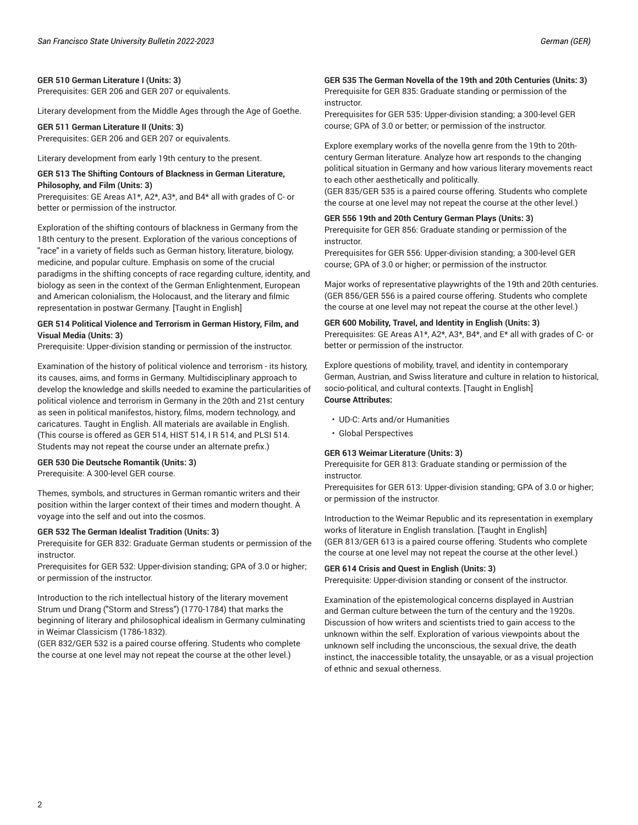#### **GER 510 German Literature I (Units: 3)**

Prerequisites: GER 206 and GER 207 or equivalents.

Literary development from the Middle Ages through the Age of Goethe.

#### **GER 511 German Literature II (Units: 3)**

Prerequisites: GER 206 and GER 207 or equivalents.

Literary development from early 19th century to the present.

#### **GER 513 The Shifting Contours of Blackness in German Literature, Philosophy, and Film (Units: 3)**

Prerequisites: GE Areas A1\*, A2\*, A3\*, and B4\* all with grades of C- or better or permission of the instructor.

Exploration of the shifting contours of blackness in Germany from the 18th century to the present. Exploration of the various conceptions of "race" in a variety of fields such as German history, literature, biology, medicine, and popular culture. Emphasis on some of the crucial paradigms in the shifting concepts of race regarding culture, identity, and biology as seen in the context of the German Enlightenment, European and American colonialism, the Holocaust, and the literary and filmic representation in postwar Germany. [Taught in English]

#### **GER 514 Political Violence and Terrorism in German History, Film, and Visual Media (Units: 3)**

Prerequisite: Upper-division standing or permission of the instructor.

Examination of the history of political violence and terrorism - its history, its causes, aims, and forms in Germany. Multidisciplinary approach to develop the knowledge and skills needed to examine the particularities of political violence and terrorism in Germany in the 20th and 21st century as seen in political manifestos, history, films, modern technology, and caricatures. Taught in English. All materials are available in English. (This course is offered as GER 514, HIST 514, I R 514, and PLSI 514. Students may not repeat the course under an alternate prefix.)

# **GER 530 Die Deutsche Romantik (Units: 3)**

Prerequisite: A 300-level GER course.

Themes, symbols, and structures in German romantic writers and their position within the larger context of their times and modern thought. A voyage into the self and out into the cosmos.

# **GER 532 The German Idealist Tradition (Units: 3)**

Prerequisite for GER 832: Graduate German students or permission of the instructor.

Prerequisites for GER 532: Upper-division standing; GPA of 3.0 or higher; or permission of the instructor.

Introduction to the rich intellectual history of the literary movement Strum und Drang ("Storm and Stress") (1770-1784) that marks the beginning of literary and philosophical idealism in Germany culminating in Weimar Classicism (1786-1832).

(GER 832/GER 532 is a paired course offering. Students who complete the course at one level may not repeat the course at the other level.)

# **GER 535 The German Novella of the 19th and 20th Centuries (Units: 3)**

Prerequisite for GER 835: Graduate standing or permission of the instructor.

Prerequisites for GER 535: Upper-division standing; a 300-level GER course; GPA of 3.0 or better; or permission of the instructor.

Explore exemplary works of the novella genre from the 19th to 20thcentury German literature. Analyze how art responds to the changing political situation in Germany and how various literary movements react to each other aesthetically and politically.

(GER 835/GER 535 is a paired course offering. Students who complete the course at one level may not repeat the course at the other level.)

### **GER 556 19th and 20th Century German Plays (Units: 3)**

Prerequisite for GER 856: Graduate standing or permission of the instructor.

Prerequisites for GER 556: Upper-division standing; a 300-level GER course; GPA of 3.0 or higher; or permission of the instructor.

Major works of representative playwrights of the 19th and 20th centuries. (GER 856/GER 556 is a paired course offering. Students who complete the course at one level may not repeat the course at the other level.)

# **GER 600 Mobility, Travel, and Identity in English (Units: 3)**

Prerequisites: GE Areas A1\*, A2\*, A3\*, B4\*, and E\* all with grades of C- or better or permission of the instructor.

Explore questions of mobility, travel, and identity in contemporary German, Austrian, and Swiss literature and culture in relation to historical, socio-political, and cultural contexts. [Taught in English] **Course Attributes:**

- UD-C: Arts and/or Humanities
- Global Perspectives

#### **GER 613 Weimar Literature (Units: 3)**

Prerequisite for GER 813: Graduate standing or permission of the instructor.

Prerequisites for GER 613: Upper-division standing; GPA of 3.0 or higher; or permission of the instructor.

Introduction to the Weimar Republic and its representation in exemplary works of literature in English translation. [Taught in English] (GER 813/GER 613 is a paired course offering. Students who complete the course at one level may not repeat the course at the other level.)

#### **GER 614 Crisis and Quest in English (Units: 3)**

Prerequisite: Upper-division standing or consent of the instructor.

Examination of the epistemological concerns displayed in Austrian and German culture between the turn of the century and the 1920s. Discussion of how writers and scientists tried to gain access to the unknown within the self. Exploration of various viewpoints about the unknown self including the unconscious, the sexual drive, the death instinct, the inaccessible totality, the unsayable, or as a visual projection of ethnic and sexual otherness.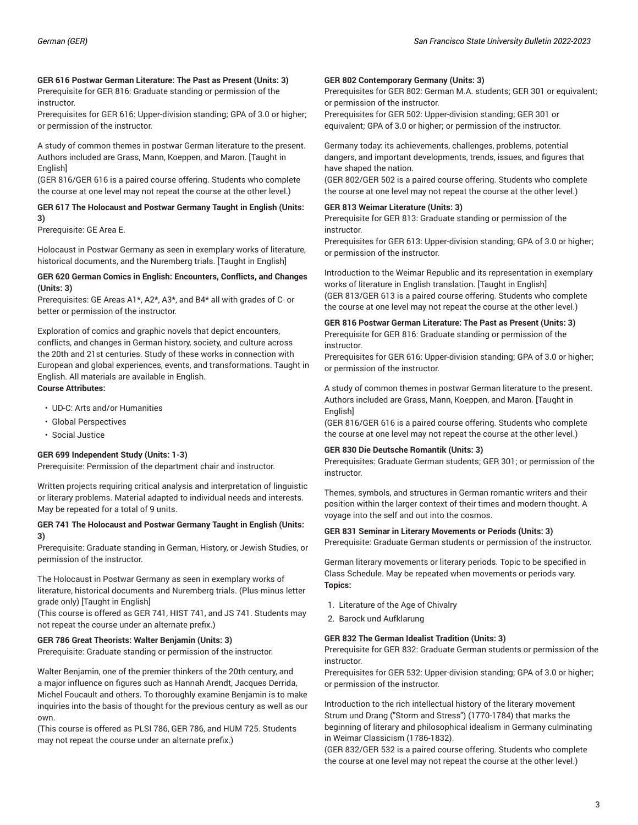# **GER 616 Postwar German Literature: The Past as Present (Units: 3)**

Prerequisite for GER 816: Graduate standing or permission of the instructor.

Prerequisites for GER 616: Upper-division standing; GPA of 3.0 or higher; or permission of the instructor.

A study of common themes in postwar German literature to the present. Authors included are Grass, Mann, Koeppen, and Maron. [Taught in English]

(GER 816/GER 616 is a paired course offering. Students who complete the course at one level may not repeat the course at the other level.)

## **GER 617 The Holocaust and Postwar Germany Taught in English (Units: 3)**

Prerequisite: GE Area E.

Holocaust in Postwar Germany as seen in exemplary works of literature, historical documents, and the Nuremberg trials. [Taught in English]

## **GER 620 German Comics in English: Encounters, Conflicts, and Changes (Units: 3)**

Prerequisites: GE Areas A1\*, A2\*, A3\*, and B4\* all with grades of C- or better or permission of the instructor.

Exploration of comics and graphic novels that depict encounters, conflicts, and changes in German history, society, and culture across the 20th and 21st centuries. Study of these works in connection with European and global experiences, events, and transformations. Taught in English. All materials are available in English. **Course Attributes:**

- UD-C: Arts and/or Humanities
- Global Perspectives
- Social Justice

#### **GER 699 Independent Study (Units: 1-3)**

Prerequisite: Permission of the department chair and instructor.

Written projects requiring critical analysis and interpretation of linguistic or literary problems. Material adapted to individual needs and interests. May be repeated for a total of 9 units.

### **GER 741 The Holocaust and Postwar Germany Taught in English (Units: 3)**

Prerequisite: Graduate standing in German, History, or Jewish Studies, or permission of the instructor.

The Holocaust in Postwar Germany as seen in exemplary works of literature, historical documents and Nuremberg trials. (Plus-minus letter grade only) [Taught in English]

(This course is offered as GER 741, HIST 741, and JS 741. Students may not repeat the course under an alternate prefix.)

# **GER 786 Great Theorists: Walter Benjamin (Units: 3)**

Prerequisite: Graduate standing or permission of the instructor.

Walter Benjamin, one of the premier thinkers of the 20th century, and a major influence on figures such as Hannah Arendt, Jacques Derrida, Michel Foucault and others. To thoroughly examine Benjamin is to make inquiries into the basis of thought for the previous century as well as our own.

(This course is offered as PLSI 786, GER 786, and HUM 725. Students may not repeat the course under an alternate prefix.)

#### **GER 802 Contemporary Germany (Units: 3)**

Prerequisites for GER 802: German M.A. students; GER 301 or equivalent; or permission of the instructor.

Prerequisites for GER 502: Upper-division standing; GER 301 or equivalent; GPA of 3.0 or higher; or permission of the instructor.

Germany today: its achievements, challenges, problems, potential dangers, and important developments, trends, issues, and figures that have shaped the nation.

(GER 802/GER 502 is a paired course offering. Students who complete the course at one level may not repeat the course at the other level.)

#### **GER 813 Weimar Literature (Units: 3)**

Prerequisite for GER 813: Graduate standing or permission of the instructor.

Prerequisites for GER 613: Upper-division standing; GPA of 3.0 or higher; or permission of the instructor.

Introduction to the Weimar Republic and its representation in exemplary works of literature in English translation. [Taught in English] (GER 813/GER 613 is a paired course offering. Students who complete the course at one level may not repeat the course at the other level.)

### **GER 816 Postwar German Literature: The Past as Present (Units: 3)**

Prerequisite for GER 816: Graduate standing or permission of the instructor.

Prerequisites for GER 616: Upper-division standing; GPA of 3.0 or higher; or permission of the instructor.

A study of common themes in postwar German literature to the present. Authors included are Grass, Mann, Koeppen, and Maron. [Taught in English]

(GER 816/GER 616 is a paired course offering. Students who complete the course at one level may not repeat the course at the other level.)

#### **GER 830 Die Deutsche Romantik (Units: 3)**

Prerequisites: Graduate German students; GER 301; or permission of the instructor.

Themes, symbols, and structures in German romantic writers and their position within the larger context of their times and modern thought. A voyage into the self and out into the cosmos.

#### **GER 831 Seminar in Literary Movements or Periods (Units: 3)**

Prerequisite: Graduate German students or permission of the instructor.

German literary movements or literary periods. Topic to be specified in Class Schedule. May be repeated when movements or periods vary. **Topics:**

- 1. Literature of the Age of Chivalry
- 2. Barock und Aufklarung

#### **GER 832 The German Idealist Tradition (Units: 3)**

Prerequisite for GER 832: Graduate German students or permission of the instructor.

Prerequisites for GER 532: Upper-division standing; GPA of 3.0 or higher; or permission of the instructor.

Introduction to the rich intellectual history of the literary movement Strum und Drang ("Storm and Stress") (1770-1784) that marks the beginning of literary and philosophical idealism in Germany culminating in Weimar Classicism (1786-1832).

(GER 832/GER 532 is a paired course offering. Students who complete the course at one level may not repeat the course at the other level.)